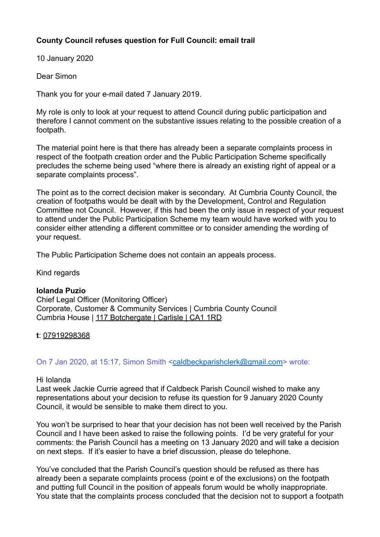# **County Council refuses question for Full Council: email trail**

10 January 2020

Dear Simon

Thank you for your e-mail dated 7 January 2019.

My role is only to look at your request to attend Council during public participation and therefore I cannot comment on the substantive issues relating to the possible creation of a footpath.

The material point here is that there has already been a separate complaints process in respect of the footpath creation order and the Public Participation Scheme specifically precludes the scheme being used "where there is already an existing right of appeal or a separate complaints process".

The point as to the correct decision maker is secondary. At Cumbria County Council, the creation of footpaths would be dealt with by the Development, Control and Regulation Committee not Council. However, if this had been the only issue in respect of your request to attend under the Public Participation Scheme my team would have worked with you to consider either attending a different committee or to consider amending the wording of your request.

The Public Participation Scheme does not contain an appeals process.

Kind regards

## **Iolanda Puzio**

Chief Legal Officer (Monitoring Officer) Corporate, Customer & Community Services | Cumbria County Council Cumbria House | [117 Botchergate | Carlisle | CA1 1RD](x-apple-data-detectors://2)

## **t**: 07919298368

## On 7 Jan 2020, at 15:17, Simon Smith [<caldbeckparishclerk@gmail.com](mailto:caldbeckparishclerk@gmail.com)> wrote:

## Hi Iolanda

Last week Jackie Currie agreed that if Caldbeck Parish Council wished to make any representations about your decision to refuse its question for 9 January 2020 County Council, it would be sensible to make them direct to you.

You won't be surprised to hear that your decision has not been well received by the Parish Council and I have been asked to raise the following points. I'd be very grateful for your comments: the Parish Council has a meeting on 13 January 2020 and will take a decision on next steps. If it's easier to have a brief discussion, please do telephone.

You've concluded that the Parish Council's question should be refused as there has already been a separate complaints process (point e of the exclusions) on the footpath and putting full Council in the position of appeals forum would be wholly inappropriate. You state that the complaints process concluded that the decision not to support a footpath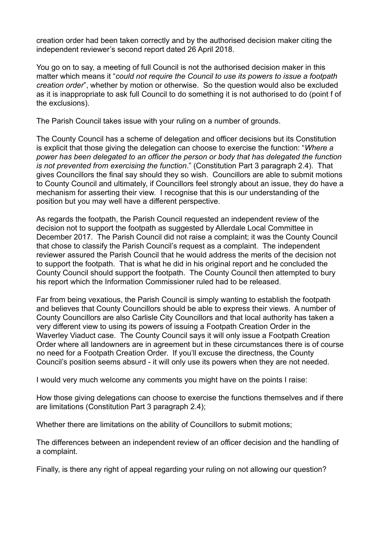creation order had been taken correctly and by the authorised decision maker citing the independent reviewer's second report dated 26 April 2018.

You go on to say, a meeting of full Council is not the authorised decision maker in this matter which means it "*could not require the Council to use its powers to issue a footpath creation order*", whether by motion or otherwise. So the question would also be excluded as it is inappropriate to ask full Council to do something it is not authorised to do (point f of the exclusions).

The Parish Council takes issue with your ruling on a number of grounds.

The County Council has a scheme of delegation and officer decisions but its Constitution is explicit that those giving the delegation can choose to exercise the function: "*Where a power has been delegated to an officer the person or body that has delegated the function is not prevented from exercising the function*." (Constitution Part 3 paragraph 2.4). That gives Councillors the final say should they so wish. Councillors are able to submit motions to County Council and ultimately, if Councillors feel strongly about an issue, they do have a mechanism for asserting their view. I recognise that this is our understanding of the position but you may well have a different perspective.

As regards the footpath, the Parish Council requested an independent review of the decision not to support the footpath as suggested by Allerdale Local Committee in December 2017. The Parish Council did not raise a complaint; it was the County Council that chose to classify the Parish Council's request as a complaint. The independent reviewer assured the Parish Council that he would address the merits of the decision not to support the footpath. That is what he did in his original report and he concluded the County Council should support the footpath. The County Council then attempted to bury his report which the Information Commissioner ruled had to be released.

Far from being vexatious, the Parish Council is simply wanting to establish the footpath and believes that County Councillors should be able to express their views. A number of County Councillors are also Carlisle City Councillors and that local authority has taken a very different view to using its powers of issuing a Footpath Creation Order in the Waverley Viaduct case. The County Council says it will only issue a Footpath Creation Order where all landowners are in agreement but in these circumstances there is of course no need for a Footpath Creation Order. If you'll excuse the directness, the County Council's position seems absurd - it will only use its powers when they are not needed.

I would very much welcome any comments you might have on the points I raise:

How those giving delegations can choose to exercise the functions themselves and if there are limitations (Constitution Part 3 paragraph 2.4);

Whether there are limitations on the ability of Councillors to submit motions;

The differences between an independent review of an officer decision and the handling of a complaint.

Finally, is there any right of appeal regarding your ruling on not allowing our question?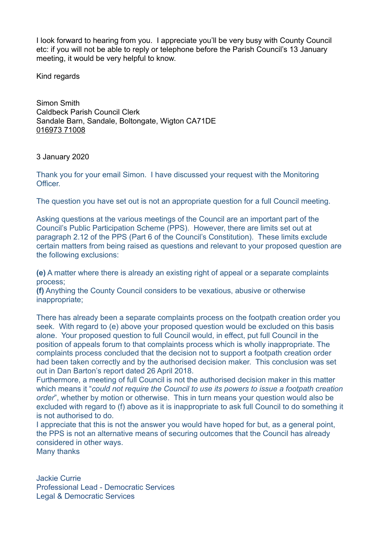I look forward to hearing from you. I appreciate you'll be very busy with County Council etc: if you will not be able to reply or telephone before the Parish Council's 13 January meeting, it would be very helpful to know.

Kind regards

Simon Smith Caldbeck Parish Council Clerk Sandale Barn, Sandale, Boltongate, Wigton CA71DE 016973 71008

3 January 2020

Thank you for your email Simon. I have discussed your request with the Monitoring **Officer** 

The question you have set out is not an appropriate question for a full Council meeting.

Asking questions at the various meetings of the Council are an important part of the Council's Public Participation Scheme (PPS). However, there are limits set out at paragraph 2.12 of the PPS (Part 6 of the Council's Constitution). These limits exclude certain matters from being raised as questions and relevant to your proposed question are the following exclusions:

**(e)** A matter where there is already an existing right of appeal or a separate complaints process;

**(f)** Anything the County Council considers to be vexatious, abusive or otherwise inappropriate;

There has already been a separate complaints process on the footpath creation order you seek. With regard to (e) above your proposed question would be excluded on this basis alone. Your proposed question to full Council would, in effect, put full Council in the position of appeals forum to that complaints process which is wholly inappropriate. The complaints process concluded that the decision not to support a footpath creation order had been taken correctly and by the authorised decision maker. This conclusion was set out in Dan Barton's report dated 26 April 2018.

Furthermore, a meeting of full Council is not the authorised decision maker in this matter which means it "*could not require the Council to use its powers to issue a footpath creation order*", whether by motion or otherwise. This in turn means your question would also be excluded with regard to (f) above as it is inappropriate to ask full Council to do something it is not authorised to do.

I appreciate that this is not the answer you would have hoped for but, as a general point, the PPS is not an alternative means of securing outcomes that the Council has already considered in other ways.

Many thanks

Jackie Currie Professional Lead - Democratic Services Legal & Democratic Services